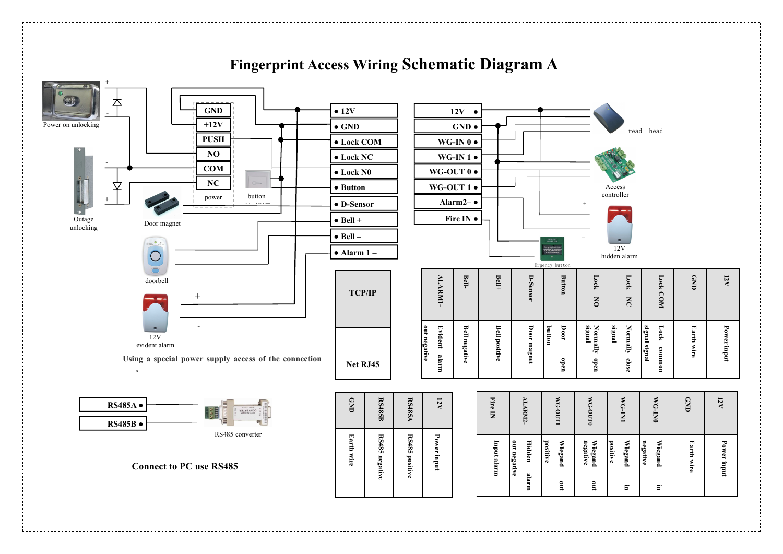

## **Fingerprint Access Wiring Schematic Diagram A**